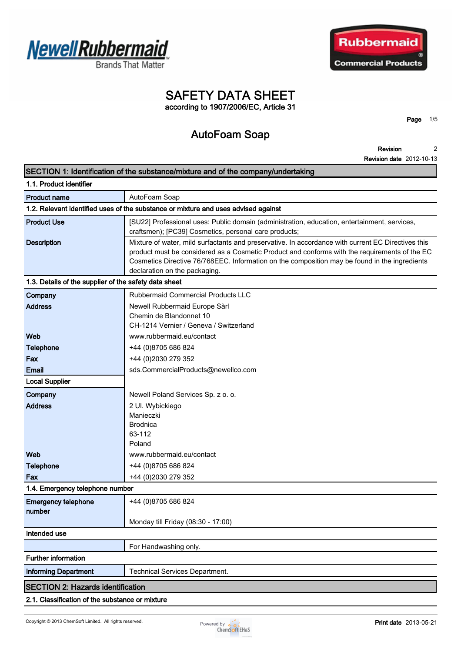





## **SAFETY DATA SHEET according to 1907/2006/EC, Article 31**

**Page 1/5**

# **AutoFoam Soap**

**Revision Revision date 2012-10-13 2**

|                                                       | SECTION 1: Identification of the substance/mixture and of the company/undertaking                                                                                                                                                                                                                                                     |  |
|-------------------------------------------------------|---------------------------------------------------------------------------------------------------------------------------------------------------------------------------------------------------------------------------------------------------------------------------------------------------------------------------------------|--|
| 1.1. Product identifier                               |                                                                                                                                                                                                                                                                                                                                       |  |
| <b>Product name</b>                                   | AutoFoam Soap                                                                                                                                                                                                                                                                                                                         |  |
|                                                       | 1.2. Relevant identified uses of the substance or mixture and uses advised against                                                                                                                                                                                                                                                    |  |
| <b>Product Use</b>                                    | [SU22] Professional uses: Public domain (administration, education, entertainment, services,<br>craftsmen); [PC39] Cosmetics, personal care products;                                                                                                                                                                                 |  |
| <b>Description</b>                                    | Mixture of water, mild surfactants and preservative. In accordance with current EC Directives this<br>product must be considered as a Cosmetic Product and conforms with the requirements of the EC<br>Cosmetics Directive 76/768EEC. Information on the composition may be found in the ingredients<br>declaration on the packaging. |  |
| 1.3. Details of the supplier of the safety data sheet |                                                                                                                                                                                                                                                                                                                                       |  |
| Company                                               | Rubbermaid Commercial Products LLC                                                                                                                                                                                                                                                                                                    |  |
| <b>Address</b>                                        | Newell Rubbermaid Europe Sàrl<br>Chemin de Blandonnet 10<br>CH-1214 Vernier / Geneva / Switzerland                                                                                                                                                                                                                                    |  |
| Web                                                   | www.rubbermaid.eu/contact                                                                                                                                                                                                                                                                                                             |  |
| <b>Telephone</b>                                      | +44 (0)8705 686 824                                                                                                                                                                                                                                                                                                                   |  |
| Fax                                                   | +44 (0)2030 279 352                                                                                                                                                                                                                                                                                                                   |  |
| <b>Email</b>                                          | sds.CommercialProducts@newellco.com                                                                                                                                                                                                                                                                                                   |  |
| <b>Local Supplier</b>                                 |                                                                                                                                                                                                                                                                                                                                       |  |
| Company                                               | Newell Poland Services Sp. z o. o.                                                                                                                                                                                                                                                                                                    |  |
| <b>Address</b>                                        | 2 Ul. Wybickiego                                                                                                                                                                                                                                                                                                                      |  |
|                                                       | Manieczki                                                                                                                                                                                                                                                                                                                             |  |
|                                                       | <b>Brodnica</b>                                                                                                                                                                                                                                                                                                                       |  |
|                                                       | 63-112<br>Poland                                                                                                                                                                                                                                                                                                                      |  |
| Web                                                   | www.rubbermaid.eu/contact                                                                                                                                                                                                                                                                                                             |  |
| <b>Telephone</b>                                      | +44 (0)8705 686 824                                                                                                                                                                                                                                                                                                                   |  |
| Fax                                                   | +44 (0)2030 279 352                                                                                                                                                                                                                                                                                                                   |  |
| 1.4. Emergency telephone number                       |                                                                                                                                                                                                                                                                                                                                       |  |
| <b>Emergency telephone</b><br>number                  | +44 (0)8705 686 824                                                                                                                                                                                                                                                                                                                   |  |
|                                                       | Monday till Friday (08:30 - 17:00)                                                                                                                                                                                                                                                                                                    |  |
| Intended use                                          |                                                                                                                                                                                                                                                                                                                                       |  |
|                                                       | For Handwashing only.                                                                                                                                                                                                                                                                                                                 |  |
| <b>Further information</b>                            |                                                                                                                                                                                                                                                                                                                                       |  |
| <b>Informing Department</b>                           | <b>Technical Services Department.</b>                                                                                                                                                                                                                                                                                                 |  |
| <b>SECTION 2: Hazards identification</b>              |                                                                                                                                                                                                                                                                                                                                       |  |
| 2.1. Classification of the substance or mixture       |                                                                                                                                                                                                                                                                                                                                       |  |
|                                                       |                                                                                                                                                                                                                                                                                                                                       |  |

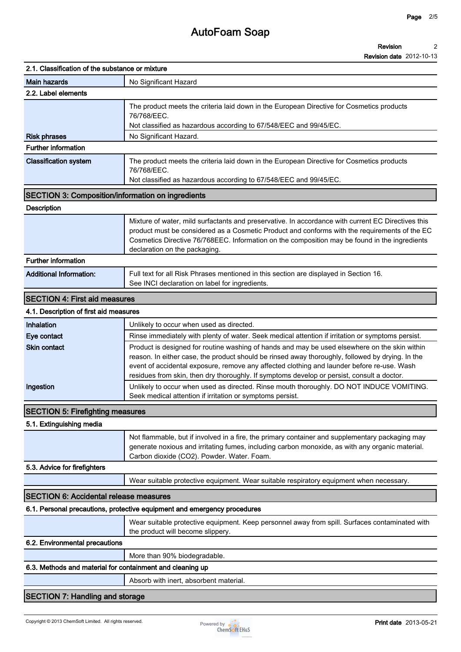| 2.1. Classification of the substance or mixture           |                                                                                                                                                                                                                                                                                                                                                                                               |
|-----------------------------------------------------------|-----------------------------------------------------------------------------------------------------------------------------------------------------------------------------------------------------------------------------------------------------------------------------------------------------------------------------------------------------------------------------------------------|
| <b>Main hazards</b>                                       | No Significant Hazard                                                                                                                                                                                                                                                                                                                                                                         |
| 2.2. Label elements                                       |                                                                                                                                                                                                                                                                                                                                                                                               |
|                                                           | The product meets the criteria laid down in the European Directive for Cosmetics products<br>76/768/EEC.<br>Not classified as hazardous according to 67/548/EEC and 99/45/EC.                                                                                                                                                                                                                 |
| <b>Risk phrases</b>                                       | No Significant Hazard.                                                                                                                                                                                                                                                                                                                                                                        |
| <b>Further information</b>                                |                                                                                                                                                                                                                                                                                                                                                                                               |
| <b>Classification system</b>                              | The product meets the criteria laid down in the European Directive for Cosmetics products<br>76/768/EEC.<br>Not classified as hazardous according to 67/548/EEC and 99/45/EC.                                                                                                                                                                                                                 |
| <b>SECTION 3: Composition/information on ingredients</b>  |                                                                                                                                                                                                                                                                                                                                                                                               |
| <b>Description</b>                                        |                                                                                                                                                                                                                                                                                                                                                                                               |
|                                                           | Mixture of water, mild surfactants and preservative. In accordance with current EC Directives this<br>product must be considered as a Cosmetic Product and conforms with the requirements of the EC<br>Cosmetics Directive 76/768EEC. Information on the composition may be found in the ingredients<br>declaration on the packaging.                                                         |
| <b>Further information</b>                                |                                                                                                                                                                                                                                                                                                                                                                                               |
| <b>Additional Information:</b>                            | Full text for all Risk Phrases mentioned in this section are displayed in Section 16.<br>See INCI declaration on label for ingredients.                                                                                                                                                                                                                                                       |
| <b>SECTION 4: First aid measures</b>                      |                                                                                                                                                                                                                                                                                                                                                                                               |
| 4.1. Description of first aid measures                    |                                                                                                                                                                                                                                                                                                                                                                                               |
| Inhalation                                                | Unlikely to occur when used as directed.                                                                                                                                                                                                                                                                                                                                                      |
| Eye contact                                               | Rinse immediately with plenty of water. Seek medical attention if irritation or symptoms persist.                                                                                                                                                                                                                                                                                             |
| <b>Skin contact</b>                                       | Product is designed for routine washing of hands and may be used elsewhere on the skin within<br>reason. In either case, the product should be rinsed away thoroughly, followed by drying. In the<br>event of accidental exposure, remove any affected clothing and launder before re-use. Wash<br>residues from skin, then dry thoroughly. If symptoms develop or persist, consult a doctor. |
| Ingestion                                                 | Unlikely to occur when used as directed. Rinse mouth thoroughly. DO NOT INDUCE VOMITING.<br>Seek medical attention if irritation or symptoms persist.                                                                                                                                                                                                                                         |
| <b>SECTION 5: Firefighting measures</b>                   |                                                                                                                                                                                                                                                                                                                                                                                               |
| 5.1. Extinguishing media                                  |                                                                                                                                                                                                                                                                                                                                                                                               |
|                                                           | Not flammable, but if involved in a fire, the primary container and supplementary packaging may<br>generate noxious and irritating fumes, including carbon monoxide, as with any organic material.<br>Carbon dioxide (CO2). Powder. Water. Foam.                                                                                                                                              |
| 5.3. Advice for firefighters                              |                                                                                                                                                                                                                                                                                                                                                                                               |
|                                                           | Wear suitable protective equipment. Wear suitable respiratory equipment when necessary.                                                                                                                                                                                                                                                                                                       |
| <b>SECTION 6: Accidental release measures</b>             |                                                                                                                                                                                                                                                                                                                                                                                               |
|                                                           | 6.1. Personal precautions, protective equipment and emergency procedures                                                                                                                                                                                                                                                                                                                      |
|                                                           | Wear suitable protective equipment. Keep personnel away from spill. Surfaces contaminated with<br>the product will become slippery.                                                                                                                                                                                                                                                           |
| 6.2. Environmental precautions                            |                                                                                                                                                                                                                                                                                                                                                                                               |
|                                                           | More than 90% biodegradable.                                                                                                                                                                                                                                                                                                                                                                  |
| 6.3. Methods and material for containment and cleaning up |                                                                                                                                                                                                                                                                                                                                                                                               |
|                                                           | Absorb with inert, absorbent material.                                                                                                                                                                                                                                                                                                                                                        |
| <b>SECTION 7: Handling and storage</b>                    |                                                                                                                                                                                                                                                                                                                                                                                               |

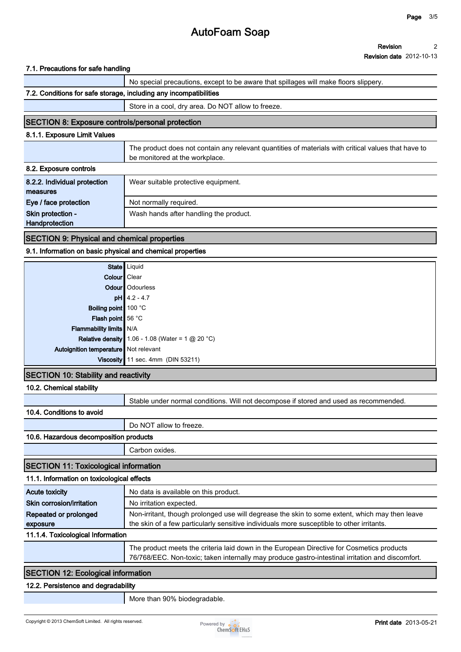#### **Revision Revision date 2012-10-13 2**

#### **7.1. Precautions for safe handling**

|                                                                   | No special precautions, except to be aware that spillages will make floors slippery.                                                  |
|-------------------------------------------------------------------|---------------------------------------------------------------------------------------------------------------------------------------|
| 7.2. Conditions for safe storage, including any incompatibilities |                                                                                                                                       |
|                                                                   | Store in a cool, dry area. Do NOT allow to freeze.                                                                                    |
| <b>SECTION 8: Exposure controls/personal protection</b>           |                                                                                                                                       |
| 8.1.1. Exposure Limit Values                                      |                                                                                                                                       |
|                                                                   | The product does not contain any relevant quantities of materials with critical values that have to<br>be monitored at the workplace. |
| 8.2. Exposure controls                                            |                                                                                                                                       |
| 8.2.2. Individual protection<br>measures                          | Wear suitable protective equipment.                                                                                                   |
| Eye / face protection                                             | Not normally required.                                                                                                                |
| Skin protection -<br>Handprotection                               | Wash hands after handling the product.                                                                                                |
|                                                                   |                                                                                                                                       |

#### **SECTION 9: Physical and chemical properties**

#### **9.1. Information on basic physical and chemical properties**

|                                         | State Liquid                                       |
|-----------------------------------------|----------------------------------------------------|
| Colour   Clear                          |                                                    |
|                                         | Odour   Odourless                                  |
|                                         | $pH$ 4.2 - 4.7                                     |
| Boiling point 100 °C                    |                                                    |
| Flash point 56 °C                       |                                                    |
| Flammability limits N/A                 |                                                    |
|                                         | Relative density 1.06 - 1.08 (Water = 1 $@$ 20 °C) |
| Autoignition temperature   Not relevant |                                                    |
|                                         | Viscosity 11 sec. 4mm (DIN 53211)                  |
|                                         |                                                    |

#### **SECTION 10: Stability and reactivity**

#### **10.2. Chemical stability**

**Stable under normal conditions. Will not decompose if stored and used as recommended.**

#### **10.4. Conditions to avoid**

**Do NOT allow to freeze.**

#### **10.6. Hazardous decomposition products**

**Carbon oxides.**

### **SECTION 11: Toxicological information**

| 11.1. Information on toxicological effects |                                                                                                                                                                                               |
|--------------------------------------------|-----------------------------------------------------------------------------------------------------------------------------------------------------------------------------------------------|
| Acute toxicity                             | No data is available on this product.                                                                                                                                                         |
| Skin corrosion/irritation                  | No irritation expected.                                                                                                                                                                       |
| Repeated or prolonged                      | Non-irritant, though prolonged use will degrease the skin to some extent, which may then leave                                                                                                |
| exposure                                   | the skin of a few particularly sensitive individuals more susceptible to other irritants.                                                                                                     |
| 11.1.4. Toxicological Information          |                                                                                                                                                                                               |
|                                            | The product meets the criteria laid down in the European Directive for Cosmetics products<br>76/768/EEC. Non-toxic; taken internally may produce gastro-intestinal irritation and discomfort. |

### **SECTION 12: Ecological information**

#### **12.2. Persistence and degradability**

**More than 90% biodegradable.**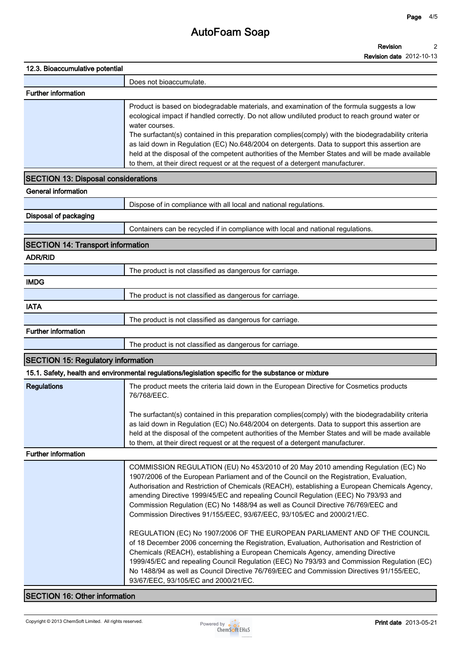#### **Revision 2**

|                                            | <b>Revision date</b> 2012-10-13                                                                                                                                                                                                                                                                                                                                                                                                                                                                                                                                                                                                                                                                                                                                                                                                                                                                                                                                                                                                         |
|--------------------------------------------|-----------------------------------------------------------------------------------------------------------------------------------------------------------------------------------------------------------------------------------------------------------------------------------------------------------------------------------------------------------------------------------------------------------------------------------------------------------------------------------------------------------------------------------------------------------------------------------------------------------------------------------------------------------------------------------------------------------------------------------------------------------------------------------------------------------------------------------------------------------------------------------------------------------------------------------------------------------------------------------------------------------------------------------------|
| 12.3. Bioaccumulative potential            |                                                                                                                                                                                                                                                                                                                                                                                                                                                                                                                                                                                                                                                                                                                                                                                                                                                                                                                                                                                                                                         |
|                                            | Does not bioaccumulate.                                                                                                                                                                                                                                                                                                                                                                                                                                                                                                                                                                                                                                                                                                                                                                                                                                                                                                                                                                                                                 |
| <b>Further information</b>                 |                                                                                                                                                                                                                                                                                                                                                                                                                                                                                                                                                                                                                                                                                                                                                                                                                                                                                                                                                                                                                                         |
|                                            | Product is based on biodegradable materials, and examination of the formula suggests a low<br>ecological impact if handled correctly. Do not allow undiluted product to reach ground water or<br>water courses.<br>The surfactant(s) contained in this preparation complies(comply) with the biodegradability criteria<br>as laid down in Regulation (EC) No.648/2004 on detergents. Data to support this assertion are<br>held at the disposal of the competent authorities of the Member States and will be made available<br>to them, at their direct request or at the request of a detergent manufacturer.                                                                                                                                                                                                                                                                                                                                                                                                                         |
| <b>SECTION 13: Disposal considerations</b> |                                                                                                                                                                                                                                                                                                                                                                                                                                                                                                                                                                                                                                                                                                                                                                                                                                                                                                                                                                                                                                         |
| <b>General information</b>                 |                                                                                                                                                                                                                                                                                                                                                                                                                                                                                                                                                                                                                                                                                                                                                                                                                                                                                                                                                                                                                                         |
|                                            | Dispose of in compliance with all local and national regulations.                                                                                                                                                                                                                                                                                                                                                                                                                                                                                                                                                                                                                                                                                                                                                                                                                                                                                                                                                                       |
| Disposal of packaging                      |                                                                                                                                                                                                                                                                                                                                                                                                                                                                                                                                                                                                                                                                                                                                                                                                                                                                                                                                                                                                                                         |
|                                            | Containers can be recycled if in compliance with local and national regulations.                                                                                                                                                                                                                                                                                                                                                                                                                                                                                                                                                                                                                                                                                                                                                                                                                                                                                                                                                        |
| <b>SECTION 14: Transport information</b>   |                                                                                                                                                                                                                                                                                                                                                                                                                                                                                                                                                                                                                                                                                                                                                                                                                                                                                                                                                                                                                                         |
| <b>ADR/RID</b>                             |                                                                                                                                                                                                                                                                                                                                                                                                                                                                                                                                                                                                                                                                                                                                                                                                                                                                                                                                                                                                                                         |
|                                            | The product is not classified as dangerous for carriage.                                                                                                                                                                                                                                                                                                                                                                                                                                                                                                                                                                                                                                                                                                                                                                                                                                                                                                                                                                                |
| <b>IMDG</b>                                |                                                                                                                                                                                                                                                                                                                                                                                                                                                                                                                                                                                                                                                                                                                                                                                                                                                                                                                                                                                                                                         |
|                                            | The product is not classified as dangerous for carriage.                                                                                                                                                                                                                                                                                                                                                                                                                                                                                                                                                                                                                                                                                                                                                                                                                                                                                                                                                                                |
| <b>IATA</b>                                |                                                                                                                                                                                                                                                                                                                                                                                                                                                                                                                                                                                                                                                                                                                                                                                                                                                                                                                                                                                                                                         |
|                                            | The product is not classified as dangerous for carriage.                                                                                                                                                                                                                                                                                                                                                                                                                                                                                                                                                                                                                                                                                                                                                                                                                                                                                                                                                                                |
| <b>Further information</b>                 |                                                                                                                                                                                                                                                                                                                                                                                                                                                                                                                                                                                                                                                                                                                                                                                                                                                                                                                                                                                                                                         |
|                                            | The product is not classified as dangerous for carriage.                                                                                                                                                                                                                                                                                                                                                                                                                                                                                                                                                                                                                                                                                                                                                                                                                                                                                                                                                                                |
| <b>SECTION 15: Regulatory information</b>  |                                                                                                                                                                                                                                                                                                                                                                                                                                                                                                                                                                                                                                                                                                                                                                                                                                                                                                                                                                                                                                         |
|                                            | 15.1. Safety, health and environmental regulations/legislation specific for the substance or mixture                                                                                                                                                                                                                                                                                                                                                                                                                                                                                                                                                                                                                                                                                                                                                                                                                                                                                                                                    |
| <b>Regulations</b>                         | The product meets the criteria laid down in the European Directive for Cosmetics products<br>76/768/EEC.<br>The surfactant(s) contained in this preparation complies(comply) with the biodegradability criteria<br>as laid down in Regulation (EC) No.648/2004 on detergents. Data to support this assertion are<br>held at the disposal of the competent authorities of the Member States and will be made available<br>to them, at their direct request or at the request of a detergent manufacturer.                                                                                                                                                                                                                                                                                                                                                                                                                                                                                                                                |
| <b>Further information</b>                 |                                                                                                                                                                                                                                                                                                                                                                                                                                                                                                                                                                                                                                                                                                                                                                                                                                                                                                                                                                                                                                         |
|                                            | COMMISSION REGULATION (EU) No 453/2010 of 20 May 2010 amending Regulation (EC) No<br>1907/2006 of the European Parliament and of the Council on the Registration, Evaluation,<br>Authorisation and Restriction of Chemicals (REACH), establishing a European Chemicals Agency,<br>amending Directive 1999/45/EC and repealing Council Regulation (EEC) No 793/93 and<br>Commission Regulation (EC) No 1488/94 as well as Council Directive 76/769/EEC and<br>Commission Directives 91/155/EEC, 93/67/EEC, 93/105/EC and 2000/21/EC.<br>REGULATION (EC) No 1907/2006 OF THE EUROPEAN PARLIAMENT AND OF THE COUNCIL<br>of 18 December 2006 concerning the Registration, Evaluation, Authorisation and Restriction of<br>Chemicals (REACH), establishing a European Chemicals Agency, amending Directive<br>1999/45/EC and repealing Council Regulation (EEC) No 793/93 and Commission Regulation (EC)<br>No 1488/94 as well as Council Directive 76/769/EEC and Commission Directives 91/155/EEC,<br>93/67/EEC, 93/105/EC and 2000/21/EC. |

### **SECTION 16: Other information**